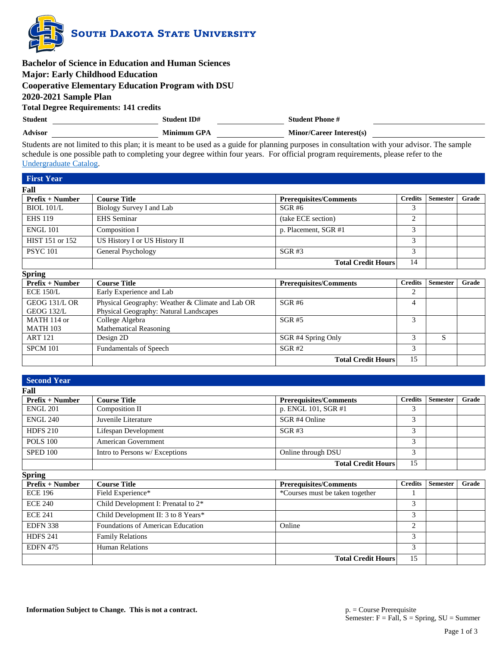

|                                               | <b>Bachelor of Science in Education and Human Sciences</b> |                                                                                                                                              |  |
|-----------------------------------------------|------------------------------------------------------------|----------------------------------------------------------------------------------------------------------------------------------------------|--|
| <b>Major: Early Childhood Education</b>       |                                                            |                                                                                                                                              |  |
|                                               | <b>Cooperative Elementary Education Program with DSU</b>   |                                                                                                                                              |  |
| 2020-2021 Sample Plan                         |                                                            |                                                                                                                                              |  |
| <b>Total Degree Requirements: 141 credits</b> |                                                            |                                                                                                                                              |  |
| <b>Student</b>                                | <b>Student ID#</b>                                         | <b>Student Phone #</b>                                                                                                                       |  |
| <b>Advisor</b>                                | <b>Minimum GPA</b>                                         | <b>Minor/Career Interest(s)</b>                                                                                                              |  |
|                                               |                                                            | Students are not limited to this plan; it is meant to be used as a guide for planning purposes in consultation with your advisor. The sample |  |

Students are not limited to this plan; it is meant to be used as a guide for planning purposes in consultation with your advisor. The sample schedule is one possible path to completing your degree within four years. For official program requirements, please refer to the [Undergraduate Catalog.](http://catalog.sdstate.edu/)

| <b>First Year</b>                  |                                                                                            |                               |                |                 |       |
|------------------------------------|--------------------------------------------------------------------------------------------|-------------------------------|----------------|-----------------|-------|
| Fall                               |                                                                                            |                               |                |                 |       |
| $Prefix + Number$                  | <b>Course Title</b>                                                                        | <b>Prerequisites/Comments</b> | <b>Credits</b> | <b>Semester</b> | Grade |
| <b>BIOL 101/L</b>                  | Biology Survey I and Lab                                                                   | $SGR \#6$                     | 3              |                 |       |
| <b>EHS</b> 119                     | <b>EHS</b> Seminar                                                                         | (take ECE section)            | 2              |                 |       |
| <b>ENGL 101</b>                    | Composition I                                                                              | p. Placement, SGR #1          | 3              |                 |       |
| HIST 151 or 152                    | US History I or US History II                                                              |                               | 3              |                 |       |
| <b>PSYC</b> 101                    | General Psychology                                                                         | $SGR$ #3                      | 3              |                 |       |
|                                    |                                                                                            | <b>Total Credit Hours</b>     | 14             |                 |       |
| <b>Spring</b>                      |                                                                                            |                               |                |                 |       |
| $Prefix + Number$                  | <b>Course Title</b>                                                                        | <b>Prerequisites/Comments</b> | <b>Credits</b> | <b>Semester</b> | Grade |
| ECE 150/L                          | Early Experience and Lab                                                                   |                               |                |                 |       |
| GEOG 131/L OR<br><b>GEOG 132/L</b> | Physical Geography: Weather & Climate and Lab OR<br>Physical Geography: Natural Landscapes | $SGR$ #6                      | 4              |                 |       |
| MATH 114 or<br><b>MATH 103</b>     | College Algebra<br><b>Mathematical Reasoning</b>                                           | <b>SGR #5</b>                 | 3              |                 |       |
| <b>ART 121</b>                     | Design 2D                                                                                  | SGR #4 Spring Only            | 3              | S.              |       |
| <b>SPCM 101</b>                    | <b>Fundamentals of Speech</b>                                                              | $SGR$ #2                      | 3              |                 |       |

| <b>Second Year</b> |                                        |                                 |                |                 |       |
|--------------------|----------------------------------------|---------------------------------|----------------|-----------------|-------|
| Fall               |                                        |                                 |                |                 |       |
| Prefix + Number    | <b>Course Title</b>                    | <b>Prerequisites/Comments</b>   | <b>Credits</b> | <b>Semester</b> | Grade |
| <b>ENGL 201</b>    | Composition II                         | p. ENGL 101, SGR #1             | 3              |                 |       |
| <b>ENGL 240</b>    | Juvenile Literature                    | SGR #4 Online                   | 3              |                 |       |
| <b>HDFS 210</b>    | Lifespan Development                   | $SGR$ #3                        | 3              |                 |       |
| <b>POLS 100</b>    | American Government                    |                                 | 3              |                 |       |
| <b>SPED 100</b>    | Intro to Persons w/ Exceptions         | Online through DSU              | 3              |                 |       |
|                    |                                        | <b>Total Credit Hours</b>       | 15             |                 |       |
| <b>Spring</b>      |                                        |                                 |                |                 |       |
| $Prefix + Number$  | <b>Course Title</b>                    | <b>Prerequisites/Comments</b>   | <b>Credits</b> | <b>Semester</b> | Grade |
| <b>ECE 196</b>     | Field Experience*                      | *Courses must be taken together |                |                 |       |
| <b>ECE 240</b>     | Child Development I: Prenatal to $2^*$ |                                 | 3              |                 |       |
| <b>ECE 241</b>     | Child Development II: 3 to 8 Years*    |                                 | 3              |                 |       |
| <b>EDFN 338</b>    | Foundations of American Education      | Online                          | 2              |                 |       |
| <b>HDFS 241</b>    | <b>Family Relations</b>                |                                 | 3              |                 |       |
| <b>EDFN 475</b>    | <b>Human Relations</b>                 |                                 | 3              |                 |       |
|                    |                                        | <b>Total Credit Hours</b>       | 15             |                 |       |

**Total Credit Hours** 15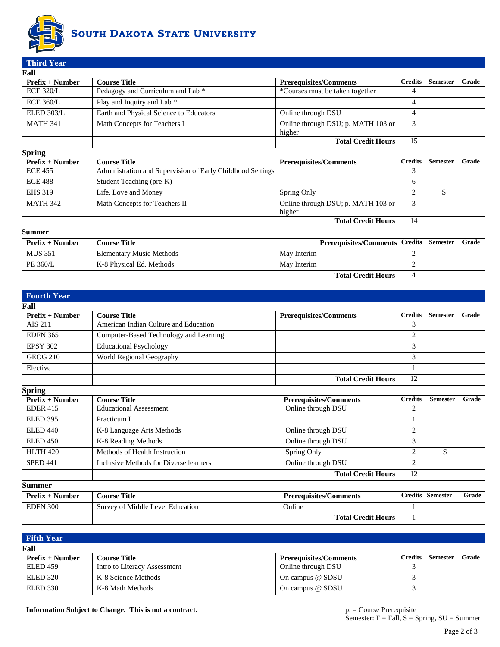

**Third Year**

| Fall              |                                                            |                                              |                |                 |       |
|-------------------|------------------------------------------------------------|----------------------------------------------|----------------|-----------------|-------|
| Prefix + Number   | <b>Course Title</b>                                        | <b>Prerequisites/Comments</b>                | <b>Credits</b> | <b>Semester</b> | Grade |
| <b>ECE 320/L</b>  | Pedagogy and Curriculum and Lab *                          | *Courses must be taken together              | 4              |                 |       |
| <b>ECE 360/L</b>  | Play and Inquiry and Lab *                                 |                                              | 4              |                 |       |
| ELED 303/L        | Earth and Physical Science to Educators                    | Online through DSU                           | 4              |                 |       |
| <b>MATH 341</b>   | Math Concepts for Teachers I                               | Online through DSU; p. MATH 103 or<br>higher | 3              |                 |       |
|                   |                                                            | <b>Total Credit Hours</b>                    | 15             |                 |       |
| <b>Spring</b>     |                                                            |                                              |                |                 |       |
| $Prefix + Number$ | <b>Course Title</b>                                        | <b>Prerequisites/Comments</b>                | <b>Credits</b> | <b>Semester</b> | Grade |
| <b>ECE 455</b>    | Administration and Supervision of Early Childhood Settings |                                              |                |                 |       |
| <b>ECE 488</b>    | Student Teaching (pre-K)                                   |                                              | 6              |                 |       |
| <b>EHS 319</b>    | Life, Love and Money                                       | Spring Only                                  | $\mathfrak{D}$ | S               |       |
| <b>MATH 342</b>   | Math Concepts for Teachers II                              | Online through DSU; p. MATH 103 or           | 3              |                 |       |

| <b>Summer</b>     |                                 |                                                  |  |       |
|-------------------|---------------------------------|--------------------------------------------------|--|-------|
| $Prefix + Number$ | <b>Course Title</b>             | <b>Prerequisites/Comments Credits   Semester</b> |  | Grade |
| <b>MUS 351</b>    | <b>Elementary Music Methods</b> | May Interim                                      |  |       |
| PE 360/L          | K-8 Physical Ed. Methods        | May Interim                                      |  |       |
|                   |                                 | <b>Total Credit Hours</b>                        |  |       |

higher

| <b>Fourth Year</b>     |                                        |                               |                |                 |       |
|------------------------|----------------------------------------|-------------------------------|----------------|-----------------|-------|
| Fall                   |                                        |                               |                |                 |       |
| $Prefix + Number$      | <b>Course Title</b>                    | <b>Prerequisites/Comments</b> | <b>Credits</b> | <b>Semester</b> | Grade |
| AIS 211                | American Indian Culture and Education  |                               | 3              |                 |       |
| <b>EDFN 365</b>        | Computer-Based Technology and Learning |                               | $\overline{2}$ |                 |       |
| <b>EPSY 302</b>        | <b>Educational Psychology</b>          |                               | 3              |                 |       |
| <b>GEOG 210</b>        | World Regional Geography               |                               | 3              |                 |       |
| Elective               |                                        |                               |                |                 |       |
|                        |                                        | <b>Total Credit Hours</b>     | 12             |                 |       |
| <b>Spring</b>          |                                        |                               |                |                 |       |
| $Prefix + Number$      | <b>Course Title</b>                    | <b>Prerequisites/Comments</b> | <b>Credits</b> | <b>Semester</b> | Grade |
| <b>EDER 415</b>        | <b>Educational Assessment</b>          | Online through DSU            | $\overline{c}$ |                 |       |
| <b>ELED 395</b>        | Practicum I                            |                               |                |                 |       |
| <b>ELED 440</b>        | K-8 Language Arts Methods              | Online through DSU            | $\overline{c}$ |                 |       |
| <b>ELED 450</b>        | K-8 Reading Methods                    | Online through DSU            | 3              |                 |       |
| <b>HLTH 420</b>        | Methods of Health Instruction          | Spring Only                   | 2              | S               |       |
| <b>SPED 441</b>        | Inclusive Methods for Diverse learners | Online through DSU            | $\overline{2}$ |                 |       |
|                        |                                        | <b>Total Credit Hours</b>     | 12             |                 |       |
| <b>Summer</b>          |                                        |                               |                |                 |       |
| <b>Prefix + Number</b> | <b>Course Title</b>                    | <b>Prerequisites/Comments</b> | <b>Credits</b> | <b>Semester</b> | Grade |
| <b>EDFN 300</b>        | Survey of Middle Level Education       | Online                        |                |                 |       |
|                        |                                        | <b>Total Credit Hours</b>     |                |                 |       |

| <b>Fifth Year</b> |                              |                               |                |                 |       |
|-------------------|------------------------------|-------------------------------|----------------|-----------------|-------|
| Fall              |                              |                               |                |                 |       |
| $Prefix + Number$ | <b>Course Title</b>          | <b>Prerequisites/Comments</b> | <b>Credits</b> | <b>Semester</b> | Grade |
| <b>ELED 459</b>   | Intro to Literacy Assessment | Online through DSU            |                |                 |       |
| ELED 320          | K-8 Science Methods          | On campus @ SDSU              |                |                 |       |
| ELED 330          | K-8 Math Methods             | On campus @ SDSU              |                |                 |       |

**Information Subject to Change. This is not a contract.** p. = Course Prerequisite p. = Course Prerequisite

**Total Credit Hours** 14